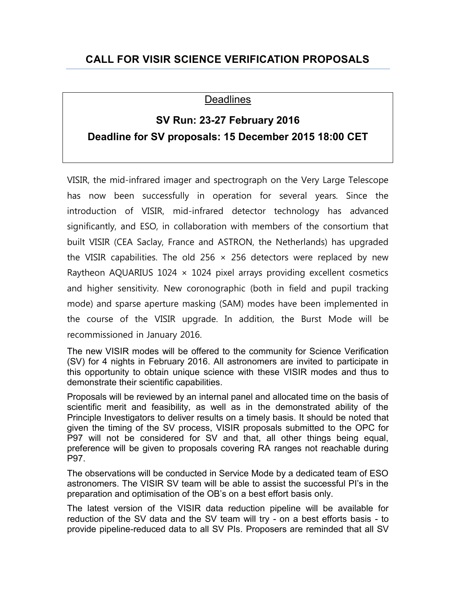## **CALL FOR VISIR SCIENCE VERIFICATION PROPOSALS**

## **Deadlines**

## **SV Run: 23-27 February 2016 Deadline for SV proposals: 15 December 2015 18:00 CET**

VISIR, the mid-infrared imager and spectrograph on the Very Large Telescope has now been successfully in operation for several years. Since the introduction of VISIR, mid-infrared detector technology has advanced significantly, and ESO, in collaboration with members of the consortium that built VISIR (CEA Saclay, France and ASTRON, the Netherlands) has upgraded the VISIR capabilities. The old 256  $\times$  256 detectors were replaced by new Raytheon AQUARIUS 1024  $\times$  1024 pixel arrays providing excellent cosmetics and higher sensitivity. New coronographic (both in field and pupil tracking mode) and sparse aperture masking (SAM) modes have been implemented in the course of the VISIR upgrade. In addition, the Burst Mode will be recommissioned in January 2016.

The new VISIR modes will be offered to the community for Science Verification (SV) for 4 nights in February 2016. All astronomers are invited to participate in this opportunity to obtain unique science with these VISIR modes and thus to demonstrate their scientific capabilities.

Proposals will be reviewed by an internal panel and allocated time on the basis of scientific merit and feasibility, as well as in the demonstrated ability of the Principle Investigators to deliver results on a timely basis. It should be noted that given the timing of the SV process, VISIR proposals submitted to the OPC for P97 will not be considered for SV and that, all other things being equal, preference will be given to proposals covering RA ranges not reachable during P97.

The observations will be conducted in Service Mode by a dedicated team of ESO astronomers. The VISIR SV team will be able to assist the successful PI's in the preparation and optimisation of the OB's on a best effort basis only.

The latest version of the VISIR data reduction pipeline will be available for reduction of the SV data and the SV team will try - on a best efforts basis - to provide pipeline-reduced data to all SV PIs. Proposers are reminded that all SV